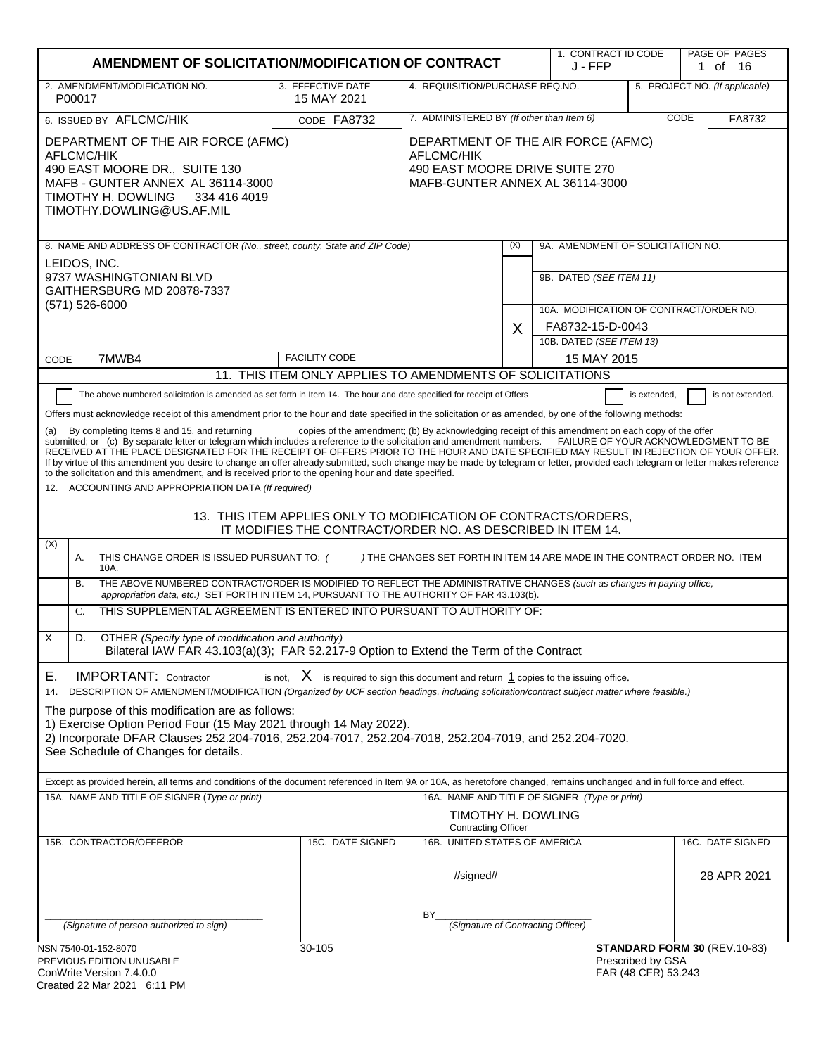| AMENDMENT OF SOLICITATION/MODIFICATION OF CONTRACT                                                                                                                                                                                                                                                                                                                                                                                                                                                                                                                                                                                                                                                             |                                                                                                                                |                                                                                                                              |     | 1. CONTRACT ID CODE<br>J - FFP                                     |                                          | PAGE OF PAGES<br>1 of 16       |
|----------------------------------------------------------------------------------------------------------------------------------------------------------------------------------------------------------------------------------------------------------------------------------------------------------------------------------------------------------------------------------------------------------------------------------------------------------------------------------------------------------------------------------------------------------------------------------------------------------------------------------------------------------------------------------------------------------------|--------------------------------------------------------------------------------------------------------------------------------|------------------------------------------------------------------------------------------------------------------------------|-----|--------------------------------------------------------------------|------------------------------------------|--------------------------------|
| 2. AMENDMENT/MODIFICATION NO.<br>P00017                                                                                                                                                                                                                                                                                                                                                                                                                                                                                                                                                                                                                                                                        | 3. EFFECTIVE DATE<br>15 MAY 2021                                                                                               | 4. REQUISITION/PURCHASE REQ.NO.                                                                                              |     |                                                                    |                                          | 5. PROJECT NO. (If applicable) |
| 6. ISSUED BY AFLCMC/HIK                                                                                                                                                                                                                                                                                                                                                                                                                                                                                                                                                                                                                                                                                        | CODE FA8732                                                                                                                    | 7. ADMINISTERED BY (If other than Item 6)<br>CODE                                                                            |     |                                                                    | FA8732                                   |                                |
| DEPARTMENT OF THE AIR FORCE (AFMC)<br><b>AFLCMC/HIK</b><br>490 EAST MOORE DR., SUITE 130<br>MAFB - GUNTER ANNEX AL 36114-3000<br>TIMOTHY H. DOWLING 334 416 4019<br>TIMOTHY.DOWLING@US.AF.MIL                                                                                                                                                                                                                                                                                                                                                                                                                                                                                                                  |                                                                                                                                | DEPARTMENT OF THE AIR FORCE (AFMC)<br><b>AFLCMC/HIK</b><br>490 EAST MOORE DRIVE SUITE 270<br>MAFB-GUNTER ANNEX AL 36114-3000 |     |                                                                    |                                          |                                |
| 8. NAME AND ADDRESS OF CONTRACTOR (No., street, county, State and ZIP Code)                                                                                                                                                                                                                                                                                                                                                                                                                                                                                                                                                                                                                                    |                                                                                                                                |                                                                                                                              | (X) | 9A. AMENDMENT OF SOLICITATION NO.                                  |                                          |                                |
| LEIDOS, INC.<br>9737 WASHINGTONIAN BLVD<br>GAITHERSBURG MD 20878-7337<br>$(571) 526 - 6000$                                                                                                                                                                                                                                                                                                                                                                                                                                                                                                                                                                                                                    |                                                                                                                                |                                                                                                                              |     | 9B. DATED (SEE ITEM 11)<br>10A. MODIFICATION OF CONTRACT/ORDER NO. |                                          |                                |
|                                                                                                                                                                                                                                                                                                                                                                                                                                                                                                                                                                                                                                                                                                                |                                                                                                                                |                                                                                                                              | X   | FA8732-15-D-0043                                                   |                                          |                                |
|                                                                                                                                                                                                                                                                                                                                                                                                                                                                                                                                                                                                                                                                                                                |                                                                                                                                |                                                                                                                              |     | 10B. DATED (SEE ITEM 13)                                           |                                          |                                |
| 7MWB4<br>CODE                                                                                                                                                                                                                                                                                                                                                                                                                                                                                                                                                                                                                                                                                                  | <b>FACILITY CODE</b>                                                                                                           |                                                                                                                              |     | 15 MAY 2015                                                        |                                          |                                |
| The above numbered solicitation is amended as set forth in Item 14. The hour and date specified for receipt of Offers                                                                                                                                                                                                                                                                                                                                                                                                                                                                                                                                                                                          | 11. THIS ITEM ONLY APPLIES TO AMENDMENTS OF SOLICITATIONS                                                                      |                                                                                                                              |     |                                                                    |                                          |                                |
| By completing Items 8 and 15, and returning<br>(a)<br>submitted; or (c) By separate letter or telegram which includes a reference to the solicitation and amendment numbers. FAILURE OF YOUR ACKNOWLEDGMENT TO BE<br>RECEIVED AT THE PLACE DESIGNATED FOR THE RECEIPT OF OFFERS PRIOR TO THE HOUR AND DATE SPECIFIED MAY RESULT IN REJECTION OF YOUR OFFER.<br>If by virtue of this amendment you desire to change an offer already submitted, such change may be made by telegram or letter, provided each telegram or letter makes reference<br>to the solicitation and this amendment, and is received prior to the opening hour and date specified.<br>12. ACCOUNTING AND APPROPRIATION DATA (If required) | copies of the amendment; (b) By acknowledging receipt of this amendment on each copy of the offer                              |                                                                                                                              |     |                                                                    |                                          |                                |
|                                                                                                                                                                                                                                                                                                                                                                                                                                                                                                                                                                                                                                                                                                                |                                                                                                                                |                                                                                                                              |     |                                                                    |                                          |                                |
|                                                                                                                                                                                                                                                                                                                                                                                                                                                                                                                                                                                                                                                                                                                | 13. THIS ITEM APPLIES ONLY TO MODIFICATION OF CONTRACTS/ORDERS,<br>IT MODIFIES THE CONTRACT/ORDER NO. AS DESCRIBED IN ITEM 14. |                                                                                                                              |     |                                                                    |                                          |                                |
| (X)<br>THIS CHANGE ORDER IS ISSUED PURSUANT TO: (<br>Α.<br>10A.                                                                                                                                                                                                                                                                                                                                                                                                                                                                                                                                                                                                                                                |                                                                                                                                | ) THE CHANGES SET FORTH IN ITEM 14 ARE MADE IN THE CONTRACT ORDER NO. ITEM                                                   |     |                                                                    |                                          |                                |
| THE ABOVE NUMBERED CONTRACT/ORDER IS MODIFIED TO REFLECT THE ADMINISTRATIVE CHANGES (such as changes in paying office,<br>В.<br>appropriation data, etc.) SET FORTH IN ITEM 14, PURSUANT TO THE AUTHORITY OF FAR 43.103(b).                                                                                                                                                                                                                                                                                                                                                                                                                                                                                    |                                                                                                                                |                                                                                                                              |     |                                                                    |                                          |                                |
| THIS SUPPLEMENTAL AGREEMENT IS ENTERED INTO PURSUANT TO AUTHORITY OF:<br>C.                                                                                                                                                                                                                                                                                                                                                                                                                                                                                                                                                                                                                                    |                                                                                                                                |                                                                                                                              |     |                                                                    |                                          |                                |
| X<br>D.<br>OTHER (Specify type of modification and authority)<br>Bilateral IAW FAR 43.103(a)(3); FAR 52.217-9 Option to Extend the Term of the Contract                                                                                                                                                                                                                                                                                                                                                                                                                                                                                                                                                        |                                                                                                                                |                                                                                                                              |     |                                                                    |                                          |                                |
| <b>IMPORTANT:</b> Contractor<br>Е.                                                                                                                                                                                                                                                                                                                                                                                                                                                                                                                                                                                                                                                                             | is not, $X$ is required to sign this document and return $1$ copies to the issuing office.                                     |                                                                                                                              |     |                                                                    |                                          |                                |
| DESCRIPTION OF AMENDMENT/MODIFICATION (Organized by UCF section headings, including solicitation/contract subject matter where feasible.)<br>14.<br>The purpose of this modification are as follows:<br>1) Exercise Option Period Four (15 May 2021 through 14 May 2022).<br>2) Incorporate DFAR Clauses 252.204-7016, 252.204-7017, 252.204-7018, 252.204-7019, and 252.204-7020.<br>See Schedule of Changes for details.                                                                                                                                                                                                                                                                                     |                                                                                                                                |                                                                                                                              |     |                                                                    |                                          |                                |
| Except as provided herein, all terms and conditions of the document referenced in Item 9A or 10A, as heretofore changed, remains unchanged and in full force and effect.                                                                                                                                                                                                                                                                                                                                                                                                                                                                                                                                       |                                                                                                                                |                                                                                                                              |     |                                                                    |                                          |                                |
| 15A. NAME AND TITLE OF SIGNER (Type or print)                                                                                                                                                                                                                                                                                                                                                                                                                                                                                                                                                                                                                                                                  |                                                                                                                                | TIMOTHY H. DOWLING<br><b>Contracting Officer</b>                                                                             |     | 16A. NAME AND TITLE OF SIGNER (Type or print)                      |                                          |                                |
| 15B. CONTRACTOR/OFFEROR                                                                                                                                                                                                                                                                                                                                                                                                                                                                                                                                                                                                                                                                                        | 15C. DATE SIGNED                                                                                                               | 16B. UNITED STATES OF AMERICA                                                                                                |     |                                                                    |                                          | 16C. DATE SIGNED               |
|                                                                                                                                                                                                                                                                                                                                                                                                                                                                                                                                                                                                                                                                                                                |                                                                                                                                | //signed//                                                                                                                   |     |                                                                    |                                          | 28 APR 2021                    |
| (Signature of person authorized to sign)                                                                                                                                                                                                                                                                                                                                                                                                                                                                                                                                                                                                                                                                       |                                                                                                                                | BY.<br>(Signature of Contracting Officer)                                                                                    |     |                                                                    |                                          |                                |
| NSN 7540-01-152-8070<br>PREVIOUS EDITION UNUSABLE<br>ConWrite Version 7.4.0.0<br>Created 22 Mar 2021 6:11 PM                                                                                                                                                                                                                                                                                                                                                                                                                                                                                                                                                                                                   | 30-105                                                                                                                         |                                                                                                                              |     |                                                                    | Prescribed by GSA<br>FAR (48 CFR) 53.243 | STANDARD FORM 30 (REV.10-83)   |

| ConWrite Version 7.4.0.0     |  |
|------------------------------|--|
| Created 22 Mar 2021  6:11 PM |  |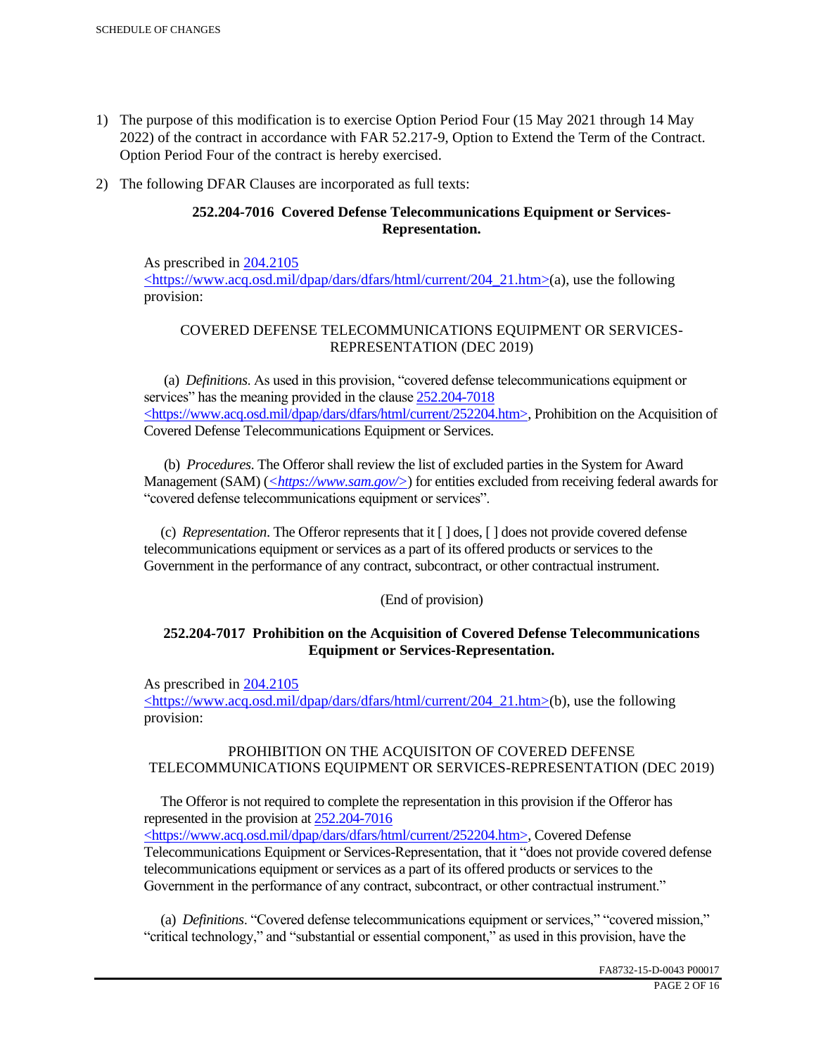- 1) The purpose of this modification is to exercise Option Period Four (15 May 2021 through 14 May 2022) of the contract in accordance with FAR 52.217-9, Option to Extend the Term of the Contract. Option Period Four of the contract is hereby exercised.
- 2) The following DFAR Clauses are incorporated as full texts:

# **252.204-7016 Covered Defense Telecommunications Equipment or Services-Representation.**

As prescribed in 204.2105 <https://www.acq.osd.mil/dpap/dars/dfars/html/current/204\_21.htm>(a), use the following provision:

# COVERED DEFENSE TELECOMMUNICATIONS EQUIPMENT OR SERVICES-REPRESENTATION (DEC 2019)

 (a) *Definitions*. As used in this provision, "covered defense telecommunications equipment or services" has the meaning provided in the clause 252.204-7018  $\langle$ https://www.acq.osd.mil/dpap/dars/dfars/html/current/252204.htm>, Prohibition on the Acquisition of Covered Defense Telecommunications Equipment or Services.

 (b) *Procedures*. The Offeror shall review the list of excluded parties in the System for Award Management (SAM) (<*https://www.sam.gov/>*) for entities excluded from receiving federal awards for "covered defense telecommunications equipment or services".

 (c) *Representation*. The Offeror represents that it [ ] does, [ ] does not provide covered defense telecommunications equipment or services as a part of its offered products or services to the Government in the performance of any contract, subcontract, or other contractual instrument.

## (End of provision)

## **252.204-7017 Prohibition on the Acquisition of Covered Defense Telecommunications Equipment or Services-Representation.**

As prescribed in 204.2105

<https://www.acq.osd.mil/dpap/dars/dfars/html/current/204\_21.htm>(b), use the following provision:

# PROHIBITION ON THE ACQUISITON OF COVERED DEFENSE TELECOMMUNICATIONS EQUIPMENT OR SERVICES-REPRESENTATION (DEC 2019)

 The Offeror is not required to complete the representation in this provision if the Offeror has represented in the provision at 252.204-7016

<https://www.acq.osd.mil/dpap/dars/dfars/html/current/252204.htm>, Covered Defense Telecommunications Equipment or Services-Representation, that it "does not provide covered defense telecommunications equipment or services as a part of its offered products or services to the Government in the performance of any contract, subcontract, or other contractual instrument."

 (a) *Definitions*. "Covered defense telecommunications equipment or services," "covered mission," "critical technology," and "substantial or essential component," as used in this provision, have the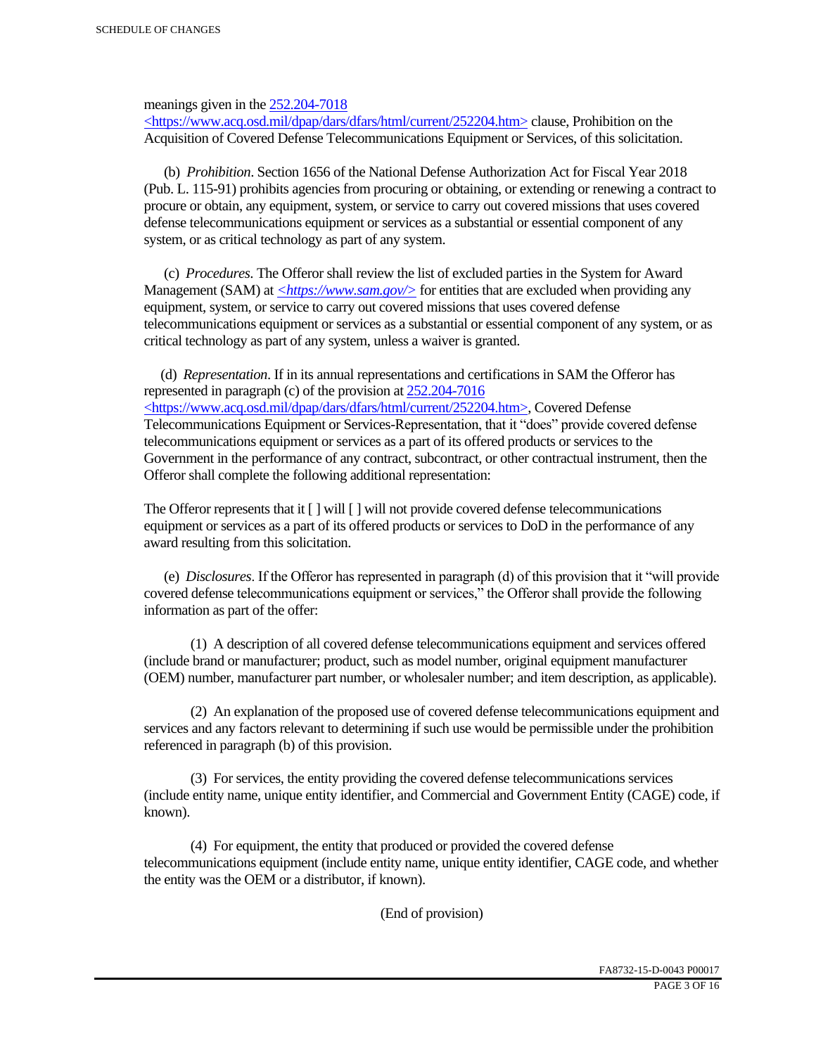meanings given in the 252.204-7018

 $\langle \text{https://www.acq.osd.mi]/dpap/dars/dfars/htm]/current/252204.htm> clause, Prohibition on the$ Acquisition of Covered Defense Telecommunications Equipment or Services, of this solicitation.

 (b) *Prohibition*. Section 1656 of the National Defense Authorization Act for Fiscal Year 2018 (Pub. L. 115-91) prohibits agencies from procuring or obtaining, or extending or renewing a contract to procure or obtain, any equipment, system, or service to carry out covered missions that uses covered defense telecommunications equipment or services as a substantial or essential component of any system, or as critical technology as part of any system.

 (c) *Procedures*. The Offeror shall review the list of excluded parties in the System for Award Management (SAM) at  $\leq$ https://www.sam.gov/> for entities that are excluded when providing any equipment, system, or service to carry out covered missions that uses covered defense telecommunications equipment or services as a substantial or essential component of any system, or as critical technology as part of any system, unless a waiver is granted.

 (d) *Representation*. If in its annual representations and certifications in SAM the Offeror has represented in paragraph (c) of the provision at 252.204-7016 <https://www.acq.osd.mil/dpap/dars/dfars/html/current/252204.htm>, Covered Defense Telecommunications Equipment or Services-Representation, that it "does" provide covered defense telecommunications equipment or services as a part of its offered products or services to the Government in the performance of any contract, subcontract, or other contractual instrument, then the Offeror shall complete the following additional representation:

The Offeror represents that it  $\lceil \cdot \rceil$  will  $\lceil \cdot \rceil$  will not provide covered defense telecommunications equipment or services as a part of its offered products or services to DoD in the performance of any award resulting from this solicitation.

 (e) *Disclosures*. If the Offeror has represented in paragraph (d) of this provision that it "will provide covered defense telecommunications equipment or services," the Offeror shall provide the following information as part of the offer:

 (1) A description of all covered defense telecommunications equipment and services offered (include brand or manufacturer; product, such as model number, original equipment manufacturer (OEM) number, manufacturer part number, or wholesaler number; and item description, as applicable).

 (2) An explanation of the proposed use of covered defense telecommunications equipment and services and any factors relevant to determining if such use would be permissible under the prohibition referenced in paragraph (b) of this provision.

 (3) For services, the entity providing the covered defense telecommunications services (include entity name, unique entity identifier, and Commercial and Government Entity (CAGE) code, if known).

 (4) For equipment, the entity that produced or provided the covered defense telecommunications equipment (include entity name, unique entity identifier, CAGE code, and whether the entity was the OEM or a distributor, if known).

(End of provision)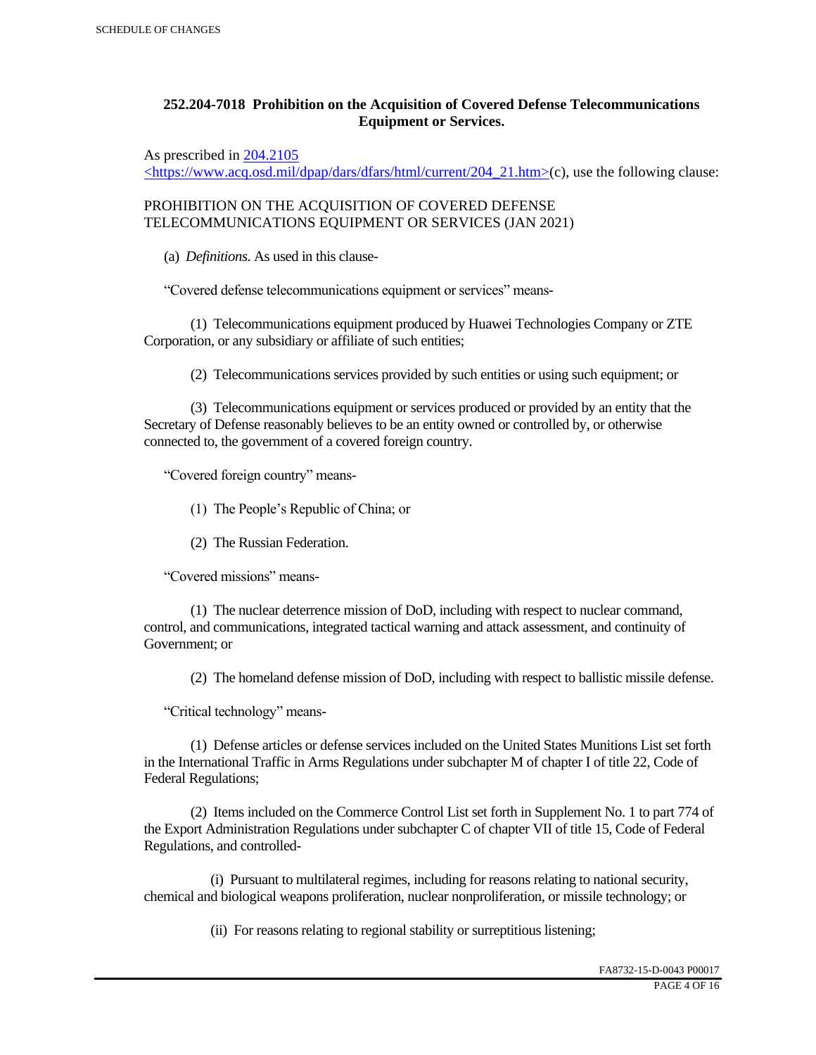# **252.204-7018 Prohibition on the Acquisition of Covered Defense Telecommunications Equipment or Services.**

As prescribed in 204.2105

 $\langle$ https://www.acq.osd.mil/dpap/dars/dfars/html/current/204\_21.htm>(c), use the following clause:

PROHIBITION ON THE ACQUISITION OF COVERED DEFENSE TELECOMMUNICATIONS EQUIPMENT OR SERVICES (JAN 2021)

(a) *Definitions*. As used in this clause-

"Covered defense telecommunications equipment or services" means-

 (1) Telecommunications equipment produced by Huawei Technologies Company or ZTE Corporation, or any subsidiary or affiliate of such entities;

(2) Telecommunications services provided by such entities or using such equipment; or

 (3) Telecommunications equipment or services produced or provided by an entity that the Secretary of Defense reasonably believes to be an entity owned or controlled by, or otherwise connected to, the government of a covered foreign country.

"Covered foreign country" means-

(1) The People's Republic of China; or

(2) The Russian Federation.

"Covered missions" means-

 (1) The nuclear deterrence mission of DoD, including with respect to nuclear command, control, and communications, integrated tactical warning and attack assessment, and continuity of Government; or

(2) The homeland defense mission of DoD, including with respect to ballistic missile defense.

"Critical technology" means-

 (1) Defense articles or defense services included on the United States Munitions List set forth in the International Traffic in Arms Regulations under subchapter M of chapter I of title 22, Code of Federal Regulations;

 (2) Items included on the Commerce Control List set forth in Supplement No. 1 to part 774 of the Export Administration Regulations under subchapter C of chapter VII of title 15, Code of Federal Regulations, and controlled-

 (i) Pursuant to multilateral regimes, including for reasons relating to national security, chemical and biological weapons proliferation, nuclear nonproliferation, or missile technology; or

(ii) For reasons relating to regional stability or surreptitious listening;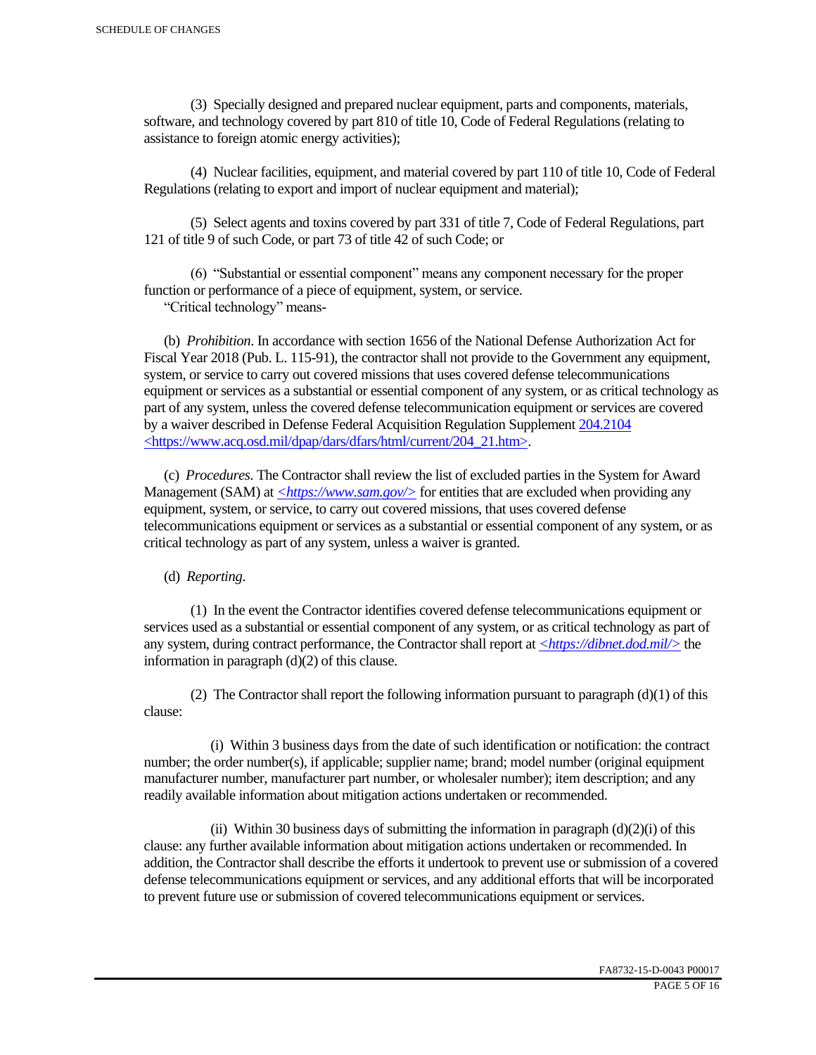(3) Specially designed and prepared nuclear equipment, parts and components, materials, software, and technology covered by part 810 of title 10, Code of Federal Regulations (relating to assistance to foreign atomic energy activities);

 (4) Nuclear facilities, equipment, and material covered by part 110 of title 10, Code of Federal Regulations (relating to export and import of nuclear equipment and material);

 (5) Select agents and toxins covered by part 331 of title 7, Code of Federal Regulations, part 121 of title 9 of such Code, or part 73 of title 42 of such Code; or

 (6) "Substantial or essential component" means any component necessary for the proper function or performance of a piece of equipment, system, or service.

"Critical technology" means-

 (b) *Prohibition*. In accordance with section 1656 of the National Defense Authorization Act for Fiscal Year 2018 (Pub. L. 115-91), the contractor shall not provide to the Government any equipment, system, or service to carry out covered missions that uses covered defense telecommunications equipment or services as a substantial or essential component of any system, or as critical technology as part of any system, unless the covered defense telecommunication equipment or services are covered by a waiver described in Defense Federal Acquisition Regulation Supplement 204.2104 <https://www.acq.osd.mil/dpap/dars/dfars/html/current/204\_21.htm>.

 (c) *Procedures*. The Contractor shall review the list of excluded parties in the System for Award Management (SAM) at <*https://www.sam.gov/*> for entities that are excluded when providing any equipment, system, or service, to carry out covered missions, that uses covered defense telecommunications equipment or services as a substantial or essential component of any system, or as critical technology as part of any system, unless a waiver is granted.

(d) *Reporting*.

 (1) In the event the Contractor identifies covered defense telecommunications equipment or services used as a substantial or essential component of any system, or as critical technology as part of any system, during contract performance, the Contractor shall report at *<https://dibnet.dod.mil/>* the information in paragraph (d)(2) of this clause.

(2) The Contractor shall report the following information pursuant to paragraph  $(d)(1)$  of this clause:

 (i) Within 3 business days from the date of such identification or notification: the contract number; the order number(s), if applicable; supplier name; brand; model number (original equipment manufacturer number, manufacturer part number, or wholesaler number); item description; and any readily available information about mitigation actions undertaken or recommended.

(ii) Within 30 business days of submitting the information in paragraph  $(d)(2)(i)$  of this clause: any further available information about mitigation actions undertaken or recommended. In addition, the Contractor shall describe the efforts it undertook to prevent use or submission of a covered defense telecommunications equipment or services, and any additional efforts that will be incorporated to prevent future use or submission of covered telecommunications equipment or services.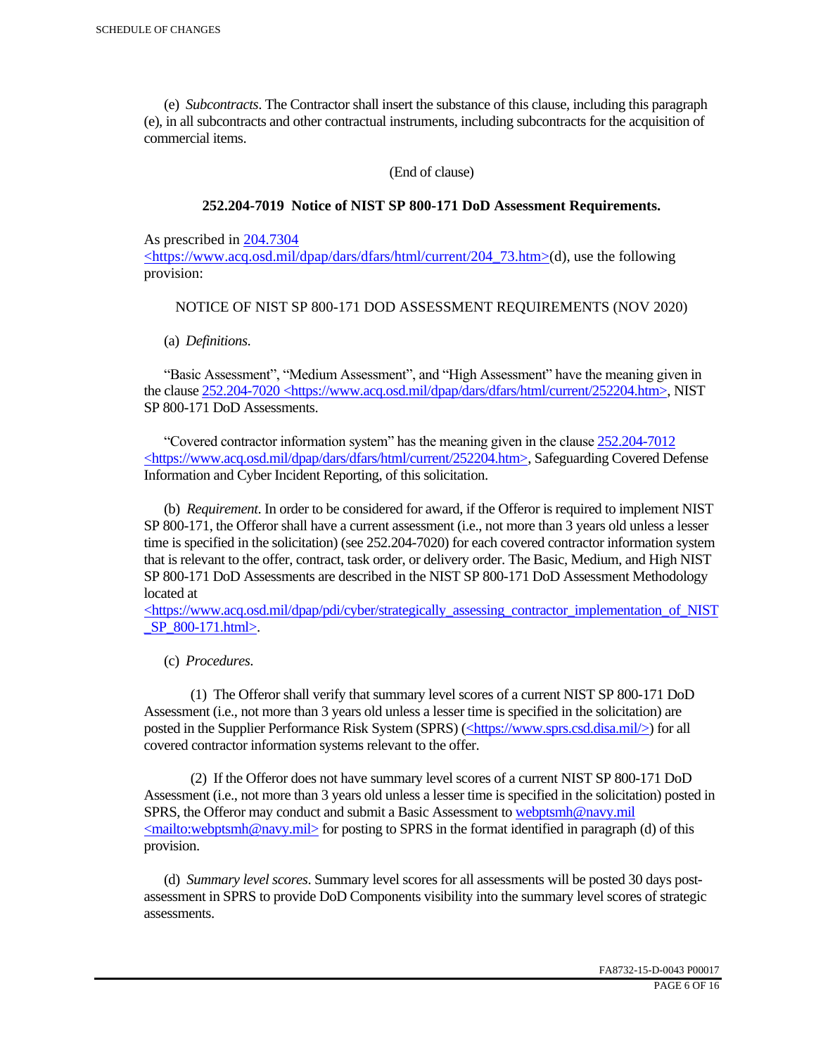(e) *Subcontracts*. The Contractor shall insert the substance of this clause, including this paragraph (e), in all subcontracts and other contractual instruments, including subcontracts for the acquisition of commercial items.

(End of clause)

### **252.204-7019 Notice of NIST SP 800-171 DoD Assessment Requirements.**

As prescribed in 204.7304

<https://www.acq.osd.mil/dpap/dars/dfars/html/current/204\_73.htm>(d), use the following provision:

### NOTICE OF NIST SP 800-171 DOD ASSESSMENT REQUIREMENTS (NOV 2020)

(a) *Definitions*.

 "Basic Assessment", "Medium Assessment", and "High Assessment" have the meaning given in the clause 252.204-7020 <https://www.acq.osd.mil/dpap/dars/dfars/html/current/252204.htm>, NIST SP 800-171 DoD Assessments.

 "Covered contractor information system" has the meaning given in the clause 252.204-7012 <https://www.acq.osd.mil/dpap/dars/dfars/html/current/252204.htm>, Safeguarding Covered Defense Information and Cyber Incident Reporting, of this solicitation.

 (b) *Requirement*. In order to be considered for award, if the Offeror is required to implement NIST SP 800-171, the Offeror shall have a current assessment (i.e., not more than 3 years old unless a lesser time is specified in the solicitation) (see 252.204-7020) for each covered contractor information system that is relevant to the offer, contract, task order, or delivery order. The Basic, Medium, and High NIST SP 800-171 DoD Assessments are described in the NIST SP 800-171 DoD Assessment Methodology located at

 $\lt$ https://www.acq.osd.mil/dpap/pdi/cyber/strategically\_assessing\_contractor\_implementation\_of\_NIST SP 800-171.html>.

(c) *Procedures*.

 (1) The Offeror shall verify that summary level scores of a current NIST SP 800-171 DoD Assessment (i.e., not more than 3 years old unless a lesser time is specified in the solicitation) are posted in the Supplier Performance Risk System (SPRS) (<https://www.sprs.csd.disa.mil/>) for all covered contractor information systems relevant to the offer.

 (2) If the Offeror does not have summary level scores of a current NIST SP 800-171 DoD Assessment (i.e., not more than 3 years old unless a lesser time is specified in the solicitation) posted in SPRS, the Offeror may conduct and submit a Basic Assessment to webptsmh@navy.mil  $\leq$ mailto:webptsmh@navy.mil> for posting to SPRS in the format identified in paragraph (d) of this provision.

 (d) *Summary level scores*. Summary level scores for all assessments will be posted 30 days postassessment in SPRS to provide DoD Components visibility into the summary level scores of strategic assessments.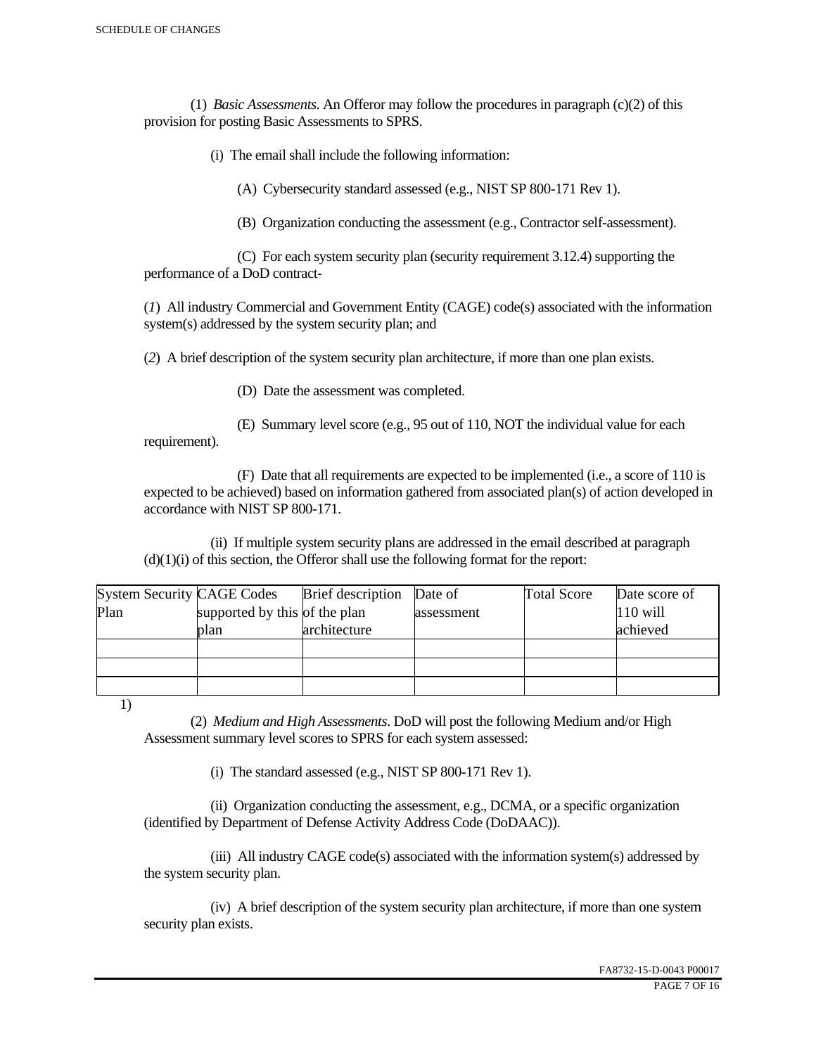(1) *Basic Assessments*. An Offeror may follow the procedures in paragraph (c)(2) of this provision for posting Basic Assessments to SPRS.

(i) The email shall include the following information:

(A) Cybersecurity standard assessed (e.g., NIST SP 800-171 Rev 1).

(B) Organization conducting the assessment (e.g., Contractor self-assessment).

 (C) For each system security plan (security requirement 3.12.4) supporting the performance of a DoD contract-

(*1*) All industry Commercial and Government Entity (CAGE) code(s) associated with the information system(s) addressed by the system security plan; and

(*2*) A brief description of the system security plan architecture, if more than one plan exists.

(D) Date the assessment was completed.

 (E) Summary level score (e.g., 95 out of 110, NOT the individual value for each requirement).

 (F) Date that all requirements are expected to be implemented (i.e., a score of 110 is expected to be achieved) based on information gathered from associated plan(s) of action developed in accordance with NIST SP 800-171.

 (ii) If multiple system security plans are addressed in the email described at paragraph  $(d)(1)(i)$  of this section, the Offeror shall use the following format for the report:

| <b>System Security CAGE Codes</b> |                               | <b>Brief</b> description | Date of    | <b>Total Score</b> | Date score of |
|-----------------------------------|-------------------------------|--------------------------|------------|--------------------|---------------|
| Plan                              | supported by this of the plan |                          | assessment |                    | $110$ will    |
|                                   | plan                          | architecture             |            |                    | achieved      |
|                                   |                               |                          |            |                    |               |
|                                   |                               |                          |            |                    |               |
|                                   |                               |                          |            |                    |               |

1)

 (2) *Medium and High Assessments*. DoD will post the following Medium and/or High Assessment summary level scores to SPRS for each system assessed:

(i) The standard assessed (e.g., NIST SP 800-171 Rev 1).

 (ii) Organization conducting the assessment, e.g., DCMA, or a specific organization (identified by Department of Defense Activity Address Code (DoDAAC)).

 (iii) All industry CAGE code(s) associated with the information system(s) addressed by the system security plan.

 (iv) A brief description of the system security plan architecture, if more than one system security plan exists.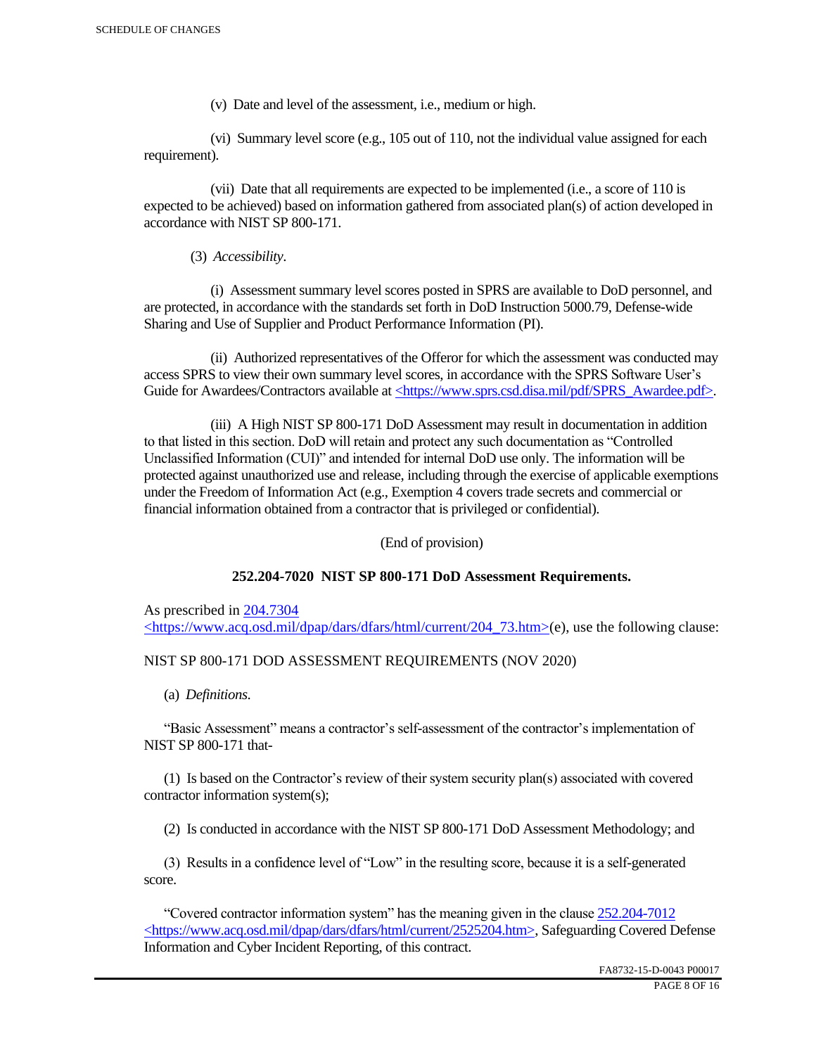(v) Date and level of the assessment, i.e., medium or high.

 (vi) Summary level score (e.g., 105 out of 110, not the individual value assigned for each requirement).

 (vii) Date that all requirements are expected to be implemented (i.e., a score of 110 is expected to be achieved) based on information gathered from associated plan(s) of action developed in accordance with NIST SP 800-171.

(3) *Accessibility*.

 (i) Assessment summary level scores posted in SPRS are available to DoD personnel, and are protected, in accordance with the standards set forth in DoD Instruction 5000.79, Defense-wide Sharing and Use of Supplier and Product Performance Information (PI).

 (ii) Authorized representatives of the Offeror for which the assessment was conducted may access SPRS to view their own summary level scores, in accordance with the SPRS Software User's Guide for Awardees/Contractors available at <https://www.sprs.csd.disa.mil/pdf/SPRS\_Awardee.pdf>.

 (iii) A High NIST SP 800-171 DoD Assessment may result in documentation in addition to that listed in this section. DoD will retain and protect any such documentation as "Controlled Unclassified Information (CUI)" and intended for internal DoD use only. The information will be protected against unauthorized use and release, including through the exercise of applicable exemptions under the Freedom of Information Act (e.g., Exemption 4 covers trade secrets and commercial or financial information obtained from a contractor that is privileged or confidential).

(End of provision)

#### **252.204-7020 NIST SP 800-171 DoD Assessment Requirements.**

As prescribed in 204.7304 <https://www.acq.osd.mil/dpap/dars/dfars/html/current/204\_73.htm>(e), use the following clause:

#### NIST SP 800-171 DOD ASSESSMENT REQUIREMENTS (NOV 2020)

(a) *Definitions*.

 "Basic Assessment" means a contractor's self-assessment of the contractor's implementation of NIST SP 800-171 that-

 (1) Is based on the Contractor's review of their system security plan(s) associated with covered contractor information system(s);

(2) Is conducted in accordance with the NIST SP 800-171 DoD Assessment Methodology; and

 (3) Results in a confidence level of "Low" in the resulting score, because it is a self-generated score.

 "Covered contractor information system" has the meaning given in the clause 252.204-7012 <https://www.acq.osd.mil/dpap/dars/dfars/html/current/2525204.htm>, Safeguarding Covered Defense Information and Cyber Incident Reporting, of this contract.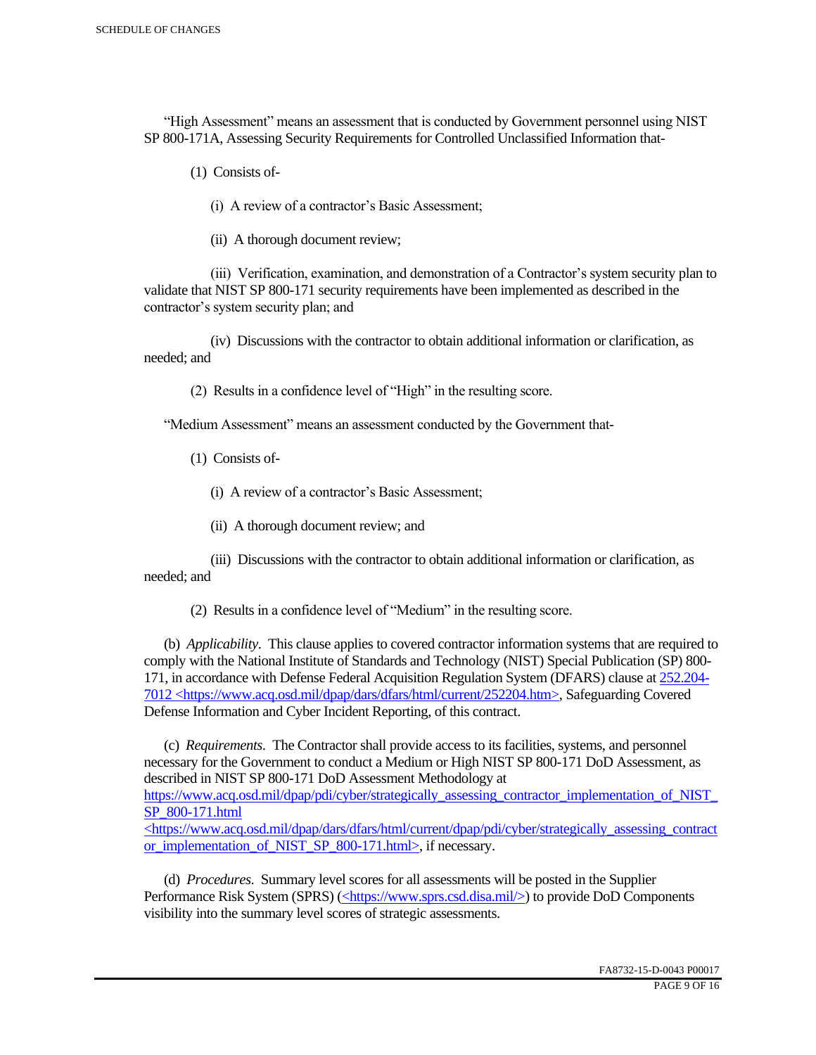"High Assessment" means an assessment that is conducted by Government personnel using NIST SP 800-171A, Assessing Security Requirements for Controlled Unclassified Information that-

(1) Consists of-

(i) A review of a contractor's Basic Assessment;

(ii) A thorough document review;

 (iii) Verification, examination, and demonstration of a Contractor's system security plan to validate that NIST SP 800-171 security requirements have been implemented as described in the contractor's system security plan; and

 (iv) Discussions with the contractor to obtain additional information or clarification, as needed; and

(2) Results in a confidence level of "High" in the resulting score.

"Medium Assessment" means an assessment conducted by the Government that-

(1) Consists of-

(i) A review of a contractor's Basic Assessment;

(ii) A thorough document review; and

 (iii) Discussions with the contractor to obtain additional information or clarification, as needed; and

(2) Results in a confidence level of "Medium" in the resulting score.

 (b) *Applicability*. This clause applies to covered contractor information systems that are required to comply with the National Institute of Standards and Technology (NIST) Special Publication (SP) 800- 171, in accordance with Defense Federal Acquisition Regulation System (DFARS) clause at 252.204- 7012 <https://www.acq.osd.mil/dpap/dars/dfars/html/current/252204.htm>, Safeguarding Covered Defense Information and Cyber Incident Reporting, of this contract.

 (c) *Requirements*. The Contractor shall provide access to its facilities, systems, and personnel necessary for the Government to conduct a Medium or High NIST SP 800-171 DoD Assessment, as described in NIST SP 800-171 DoD Assessment Methodology at https://www.acq.osd.mil/dpap/pdi/cyber/strategically\_assessing\_contractor\_implementation\_of\_NIST\_ SP\_800-171.html

<https://www.acq.osd.mil/dpap/dars/dfars/html/current/dpap/pdi/cyber/strategically\_assessing\_contract or implementation of NIST SP 800-171.html>, if necessary.

 (d) *Procedures*. Summary level scores for all assessments will be posted in the Supplier Performance Risk System (SPRS) (<https://www.sprs.csd.disa.mil/>) to provide DoD Components visibility into the summary level scores of strategic assessments.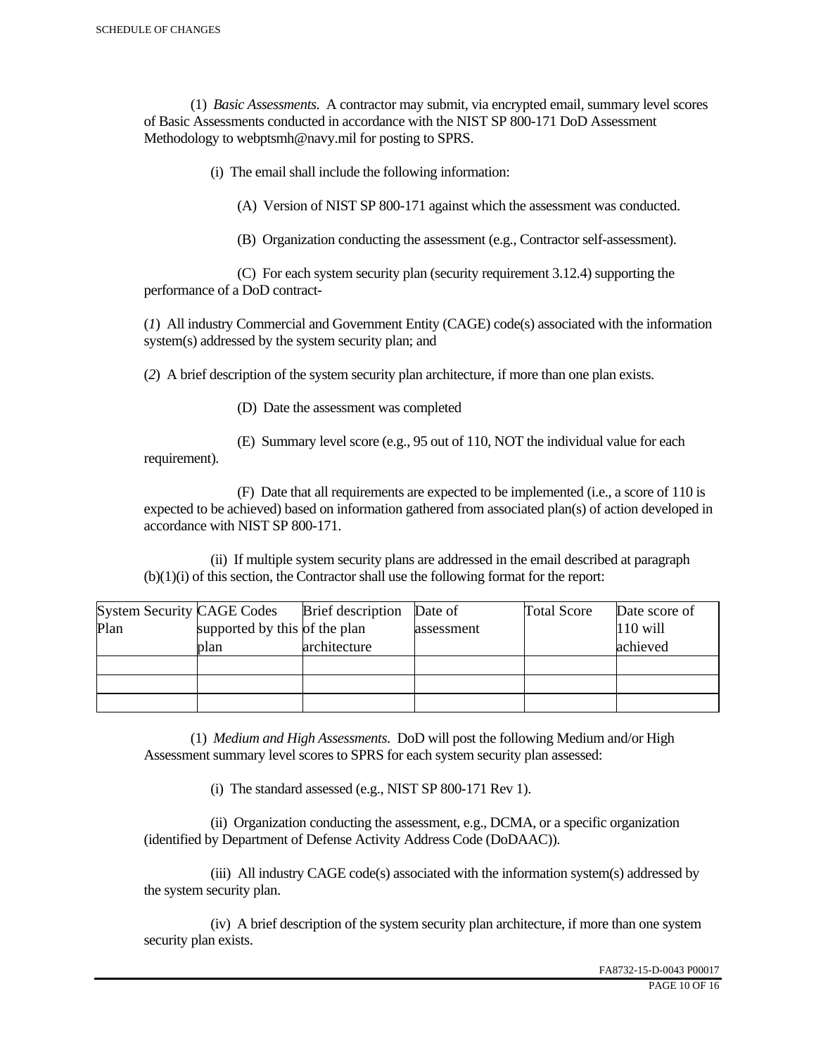(1) *Basic Assessments*. A contractor may submit, via encrypted email, summary level scores of Basic Assessments conducted in accordance with the NIST SP 800-171 DoD Assessment Methodology to webptsmh@navy.mil for posting to SPRS.

(i) The email shall include the following information:

(A) Version of NIST SP 800-171 against which the assessment was conducted.

(B) Organization conducting the assessment (e.g., Contractor self-assessment).

 (C) For each system security plan (security requirement 3.12.4) supporting the performance of a DoD contract-

(*1*) All industry Commercial and Government Entity (CAGE) code(s) associated with the information system(s) addressed by the system security plan; and

(*2*) A brief description of the system security plan architecture, if more than one plan exists.

(D) Date the assessment was completed

requirement).

(E) Summary level score (e.g., 95 out of 110, NOT the individual value for each

 (F) Date that all requirements are expected to be implemented (i.e., a score of 110 is expected to be achieved) based on information gathered from associated plan(s) of action developed in accordance with NIST SP 800-171.

 (ii) If multiple system security plans are addressed in the email described at paragraph (b)(1)(i) of this section, the Contractor shall use the following format for the report:

| <b>System Security CAGE Codes</b> |                               | <b>Brief</b> description | Date of    | <b>Total Score</b> | Date score of |
|-----------------------------------|-------------------------------|--------------------------|------------|--------------------|---------------|
| Plan                              | supported by this of the plan |                          | assessment |                    | $110$ will    |
|                                   | plan                          | architecture             |            |                    | achieved      |
|                                   |                               |                          |            |                    |               |
|                                   |                               |                          |            |                    |               |
|                                   |                               |                          |            |                    |               |

 (1) *Medium and High Assessments*. DoD will post the following Medium and/or High Assessment summary level scores to SPRS for each system security plan assessed:

(i) The standard assessed (e.g., NIST SP 800-171 Rev 1).

 (ii) Organization conducting the assessment, e.g., DCMA, or a specific organization (identified by Department of Defense Activity Address Code (DoDAAC)).

 (iii) All industry CAGE code(s) associated with the information system(s) addressed by the system security plan.

 (iv) A brief description of the system security plan architecture, if more than one system security plan exists.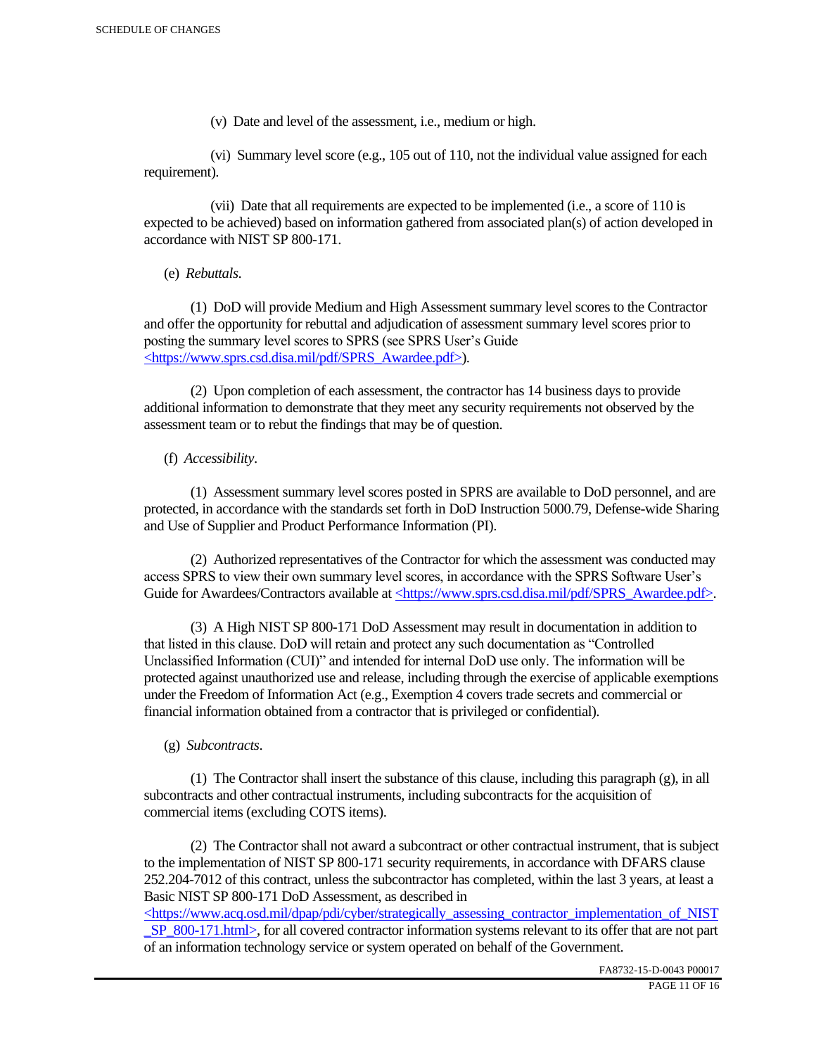(v) Date and level of the assessment, i.e., medium or high.

 (vi) Summary level score (e.g., 105 out of 110, not the individual value assigned for each requirement).

 (vii) Date that all requirements are expected to be implemented (i.e., a score of 110 is expected to be achieved) based on information gathered from associated plan(s) of action developed in accordance with NIST SP 800-171.

(e) *Rebuttals*.

 (1) DoD will provide Medium and High Assessment summary level scores to the Contractor and offer the opportunity for rebuttal and adjudication of assessment summary level scores prior to posting the summary level scores to SPRS (see SPRS User's Guide <https://www.sprs.csd.disa.mil/pdf/SPRS\_Awardee.pdf>).

 (2) Upon completion of each assessment, the contractor has 14 business days to provide additional information to demonstrate that they meet any security requirements not observed by the assessment team or to rebut the findings that may be of question.

## (f) *Accessibility*.

 (1) Assessment summary level scores posted in SPRS are available to DoD personnel, and are protected, in accordance with the standards set forth in DoD Instruction 5000.79, Defense-wide Sharing and Use of Supplier and Product Performance Information (PI).

 (2) Authorized representatives of the Contractor for which the assessment was conducted may access SPRS to view their own summary level scores, in accordance with the SPRS Software User's Guide for Awardees/Contractors available at <https://www.sprs.csd.disa.mil/pdf/SPRS\_Awardee.pdf>.

 (3) A High NIST SP 800-171 DoD Assessment may result in documentation in addition to that listed in this clause. DoD will retain and protect any such documentation as "Controlled Unclassified Information (CUI)" and intended for internal DoD use only. The information will be protected against unauthorized use and release, including through the exercise of applicable exemptions under the Freedom of Information Act (e.g., Exemption 4 covers trade secrets and commercial or financial information obtained from a contractor that is privileged or confidential).

## (g) *Subcontracts*.

(1) The Contractor shall insert the substance of this clause, including this paragraph  $(g)$ , in all subcontracts and other contractual instruments, including subcontracts for the acquisition of commercial items (excluding COTS items).

 (2) The Contractor shall not award a subcontract or other contractual instrument, that is subject to the implementation of NIST SP 800-171 security requirements, in accordance with DFARS clause 252.204-7012 of this contract, unless the subcontractor has completed, within the last 3 years, at least a Basic NIST SP 800-171 DoD Assessment, as described in

<https://www.acq.osd.mil/dpap/pdi/cyber/strategically\_assessing\_contractor\_implementation\_of\_NIST \_SP\_800-171.html>, for all covered contractor information systems relevant to its offer that are not part of an information technology service or system operated on behalf of the Government.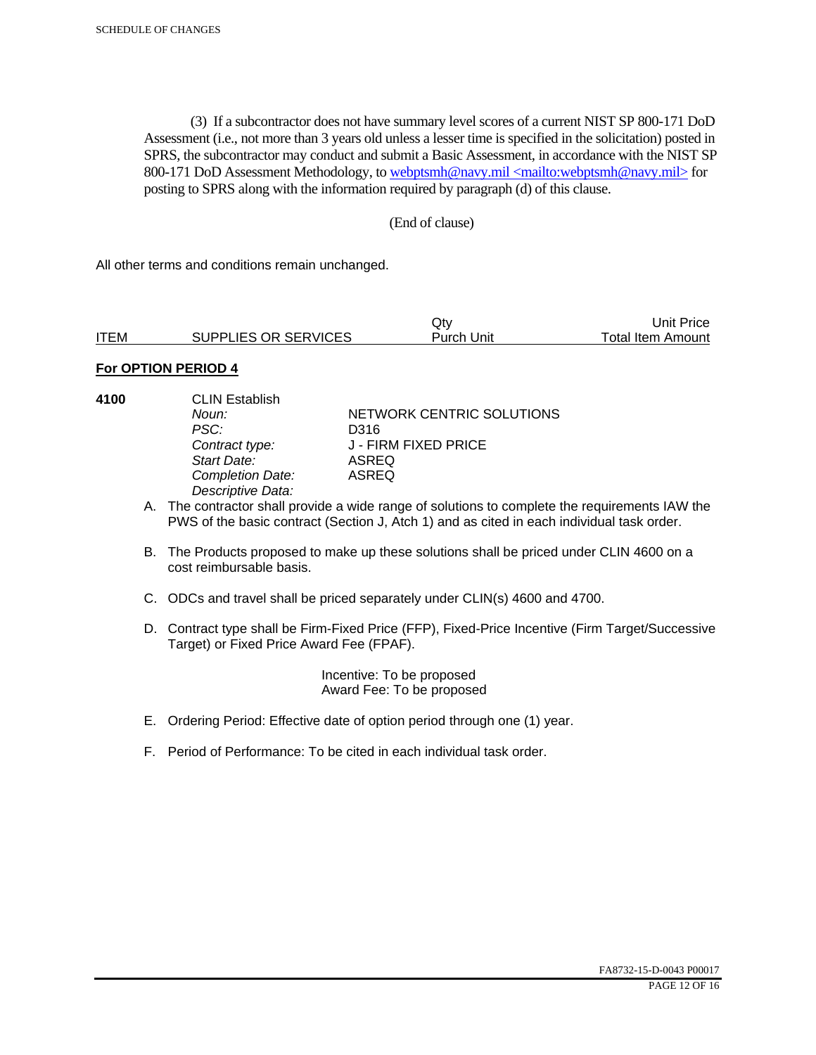(3) If a subcontractor does not have summary level scores of a current NIST SP 800-171 DoD Assessment (i.e., not more than 3 years old unless a lesser time is specified in the solicitation) posted in SPRS, the subcontractor may conduct and submit a Basic Assessment, in accordance with the NIST SP 800-171 DoD Assessment Methodology, to webptsmh@navy.mil <mailto:webptsmh@navy.mil> for posting to SPRS along with the information required by paragraph (d) of this clause.

### (End of clause)

All other terms and conditions remain unchanged.

*Descriptive Data:* 

|             |                      | Jt∨        | Unit Price l             |
|-------------|----------------------|------------|--------------------------|
| <b>ITEM</b> | SUPPLIES OR SERVICES | Purch Unit | <b>Total Item Amount</b> |

### **For OPTION PERIOD 4**

**4100** CLIN Establish

*Noun:* **NETWORK CENTRIC SOLUTIONS** *PSC:* D316 *Contract type:* J - FIRM FIXED PRICE *Start Date:* ASREQ *Completion Date:* ASREQ

A. The contractor shall provide a wide range of solutions to complete the requirements IAW the PWS of the basic contract (Section J, Atch 1) and as cited in each individual task order.

- B. The Products proposed to make up these solutions shall be priced under CLIN 4600 on a cost reimbursable basis.
- C. ODCs and travel shall be priced separately under CLIN(s) 4600 and 4700.
- D. Contract type shall be Firm-Fixed Price (FFP), Fixed-Price Incentive (Firm Target/Successive Target) or Fixed Price Award Fee (FPAF).

 Incentive: To be proposed Award Fee: To be proposed

- E. Ordering Period: Effective date of option period through one (1) year.
- F. Period of Performance: To be cited in each individual task order.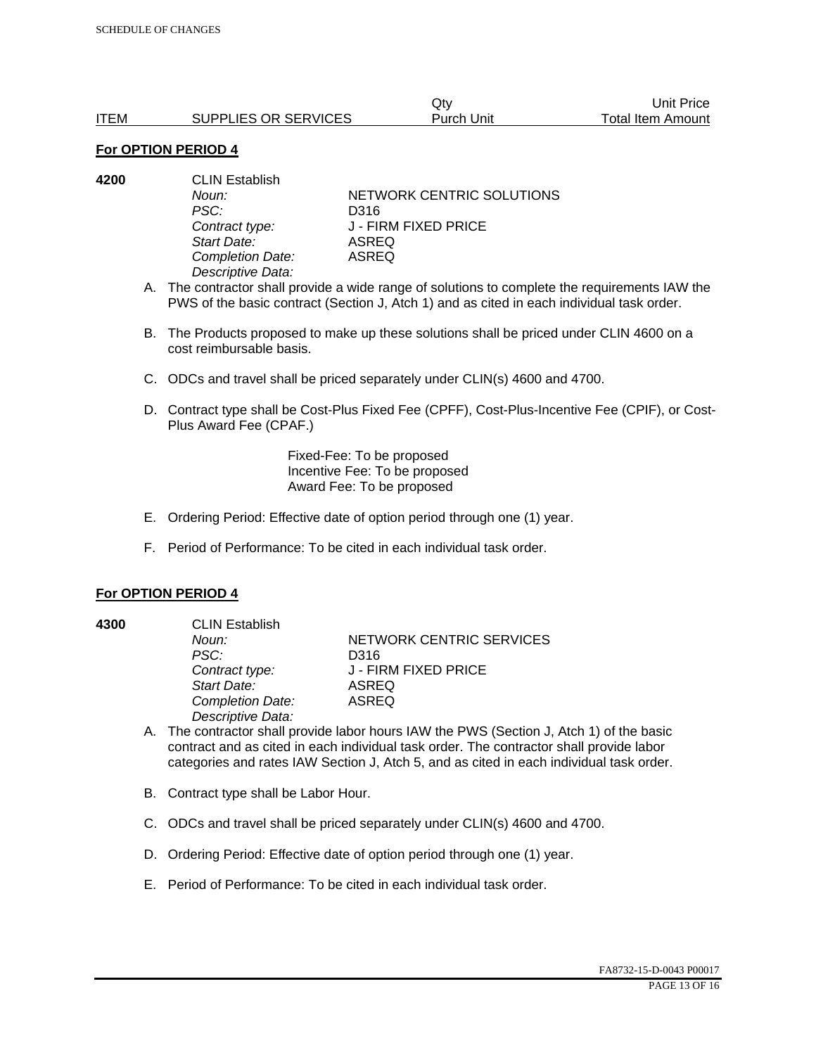|             |                      | Jt∨        | Unit Price        |
|-------------|----------------------|------------|-------------------|
| <b>ITEM</b> | SUPPLIES OR SERVICES | Purch Unit | Total Item Amount |

| 4200 | <b>CLIN Establish</b> |                           |  |
|------|-----------------------|---------------------------|--|
|      | Noun:                 | NETWORK CENTRIC SOLUTIONS |  |
|      | PSC:                  | D316                      |  |
|      | Contract type:        | J - FIRM FIXED PRICE      |  |
|      | Start Date:           | <b>ASREQ</b>              |  |
|      | Completion Date:      | <b>ASREQ</b>              |  |
|      | Descriptive Data:     |                           |  |
|      |                       |                           |  |

- A. The contractor shall provide a wide range of solutions to complete the requirements IAW the PWS of the basic contract (Section J, Atch 1) and as cited in each individual task order.
- B. The Products proposed to make up these solutions shall be priced under CLIN 4600 on a cost reimbursable basis.
- C. ODCs and travel shall be priced separately under CLIN(s) 4600 and 4700.
- D. Contract type shall be Cost-Plus Fixed Fee (CPFF), Cost-Plus-Incentive Fee (CPIF), or Cost-Plus Award Fee (CPAF.)

Fixed-Fee: To be proposed Incentive Fee: To be proposed Award Fee: To be proposed

- E. Ordering Period: Effective date of option period through one (1) year.
- F. Period of Performance: To be cited in each individual task order.

#### **For OPTION PERIOD 4**

**4300** CLIN Establish *PSC:* D316 *Start Date:* ASREQ *Completion Date:* ASREQ *Descriptive Data:* 

**Noun: NETWORK CENTRIC SERVICES** *Contract type:* J - FIRM FIXED PRICE

- A. The contractor shall provide labor hours IAW the PWS (Section J, Atch 1) of the basic contract and as cited in each individual task order. The contractor shall provide labor categories and rates IAW Section J, Atch 5, and as cited in each individual task order.
- B. Contract type shall be Labor Hour.
- C. ODCs and travel shall be priced separately under CLIN(s) 4600 and 4700.
- D. Ordering Period: Effective date of option period through one (1) year.
- E. Period of Performance: To be cited in each individual task order.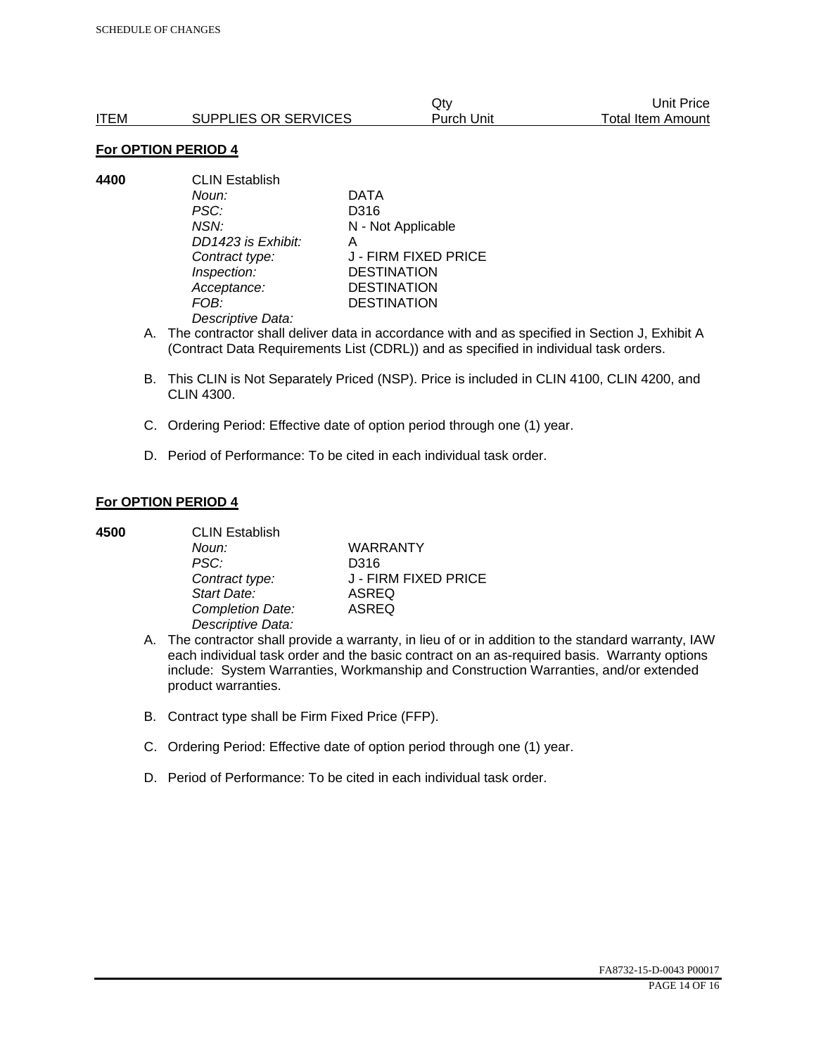|      |                      | Qtv               | Unit Price               |
|------|----------------------|-------------------|--------------------------|
| ITEM | SUPPLIES OR SERVICES | <b>Purch Unit</b> | <b>Total Item Amount</b> |

**4400** CLIN Establish *Noun:* DATA *PSC:* D316 *NSN:* N - Not Applicable *DD1423 is Exhibit:* A *Contract type:* J - FIRM FIXED PRICE *Inspection:* DESTINATION *Acceptance:* DESTINATION *FOB:* DESTINATION *Descriptive Data:* 

- A. The contractor shall deliver data in accordance with and as specified in Section J, Exhibit A (Contract Data Requirements List (CDRL)) and as specified in individual task orders.
- B. This CLIN is Not Separately Priced (NSP). Price is included in CLIN 4100, CLIN 4200, and CLIN 4300.
- C. Ordering Period: Effective date of option period through one (1) year.
- D. Period of Performance: To be cited in each individual task order.

### **For OPTION PERIOD 4**

| 4500 | <b>CLIN Establish</b> |                      |  |
|------|-----------------------|----------------------|--|
|      | Noun:                 | <b>WARRANTY</b>      |  |
|      | PSC:                  | D316                 |  |
|      | Contract type:        | J - FIRM FIXED PRICE |  |
|      | Start Date:           | <b>ASREQ</b>         |  |
|      | Completion Date:      | <b>ASREQ</b>         |  |
|      | Descriptive Data:     |                      |  |

- A. The contractor shall provide a warranty, in lieu of or in addition to the standard warranty, IAW each individual task order and the basic contract on an as-required basis. Warranty options include: System Warranties, Workmanship and Construction Warranties, and/or extended product warranties.
- B. Contract type shall be Firm Fixed Price (FFP).
- C. Ordering Period: Effective date of option period through one (1) year.
- D. Period of Performance: To be cited in each individual task order.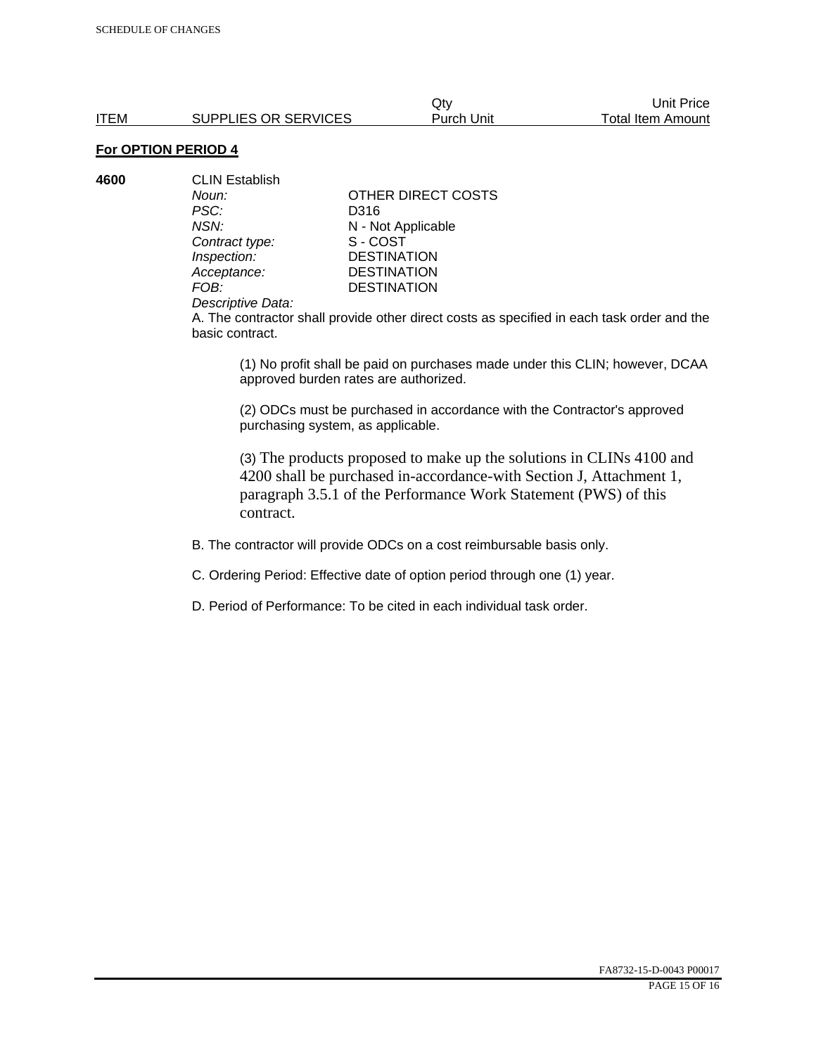**4600** CLIN Establish *Noun:* **CONTAINALLY** OTHER DIRECT COSTS *PSC:* D316 *NSN:* **N** - Not Applicable<br>
Contract type: S - COST **Contract type:** *Inspection:* DESTINATION<br> *Acceptance:* DESTINATION *Acceptance:* DESTINATION<br>FOB: DESTINATION

**DESTINATION** 

#### *Descriptive Data:*

A. The contractor shall provide other direct costs as specified in each task order and the basic contract.

(1) No profit shall be paid on purchases made under this CLIN; however, DCAA approved burden rates are authorized.

(2) ODCs must be purchased in accordance with the Contractor's approved purchasing system, as applicable.

(3) The products proposed to make up the solutions in CLINs 4100 and 4200 shall be purchased in-accordance-with Section J, Attachment 1, paragraph 3.5.1 of the Performance Work Statement (PWS) of this contract.

B. The contractor will provide ODCs on a cost reimbursable basis only.

C. Ordering Period: Effective date of option period through one (1) year.

D. Period of Performance: To be cited in each individual task order.